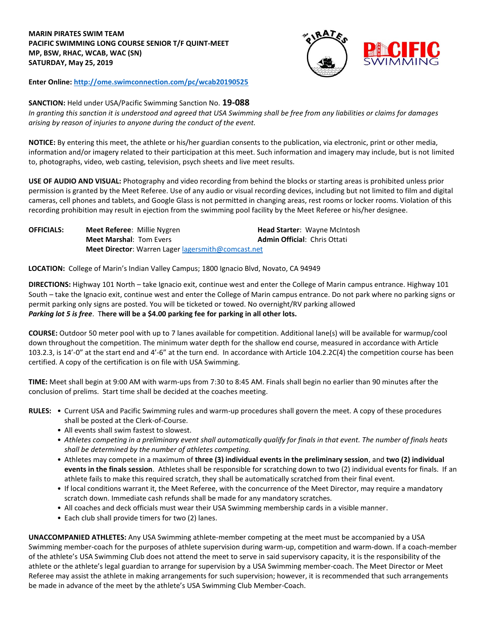## **MARIN PIRATES SWIM TEAM PACIFIC SWIMMING LONG COURSE SENIOR T/F QUINT-MEET** **MP, BSW, RHAC, WCAB, WAC (SN)** **SATURDAY, May 25, 2019**



**Enter Online: <http://ome.swimconnection.com/pc/wcab20190525>**

# **SANCTION:** Held under USA/Pacific Swimming Sanction No. **19-088**

*In granting this sanction it is understood and agreed that USA Swimming shall be free from any liabilities or claims for damages arising by reason of injuries to anyone during the conduct of the event.* 

**NOTICE:** By entering this meet, the athlete or his/her guardian consents to the publication, via electronic, print or other media, information and/or imagery related to their participation at this meet. Such information and imagery may include, but is not limited to, photographs, video, web casting, television, psych sheets and live meet results.

**USE OF AUDIO AND VISUAL:** Photography and video recording from behind the blocks or starting areas is prohibited unless prior permission is granted by the Meet Referee. Use of any audio or visual recording devices, including but not limited to film and digital cameras, cell phones and tablets, and Google Glass is not permitted in changing areas, rest rooms or locker rooms. Violation of this recording prohibition may result in ejection from the swimming pool facility by the Meet Referee or his/her designee.

| <b>OFFICIALS:</b> | <b>Meet Referee: Millie Nygren</b>                 | <b>Head Starter: Wayne McIntosh</b> |  |  |  |
|-------------------|----------------------------------------------------|-------------------------------------|--|--|--|
|                   | <b>Meet Marshal: Tom Evers</b>                     | <b>Admin Official: Chris Ottati</b> |  |  |  |
|                   | Meet Director: Warren Lager lagersmith@comcast.net |                                     |  |  |  |

**LOCATION:** College of Marin's Indian Valley Campus; 1800 Ignacio Blvd, Novato, CA 94949

**DIRECTIONS:** Highway 101 North – take Ignacio exit, continue west and enter the College of Marin campus entrance. Highway 101 South – take the Ignacio exit, continue west and enter the College of Marin campus entrance. Do not park where no parking signs or permit parking only signs are posted. You will be ticketed or towed. No overnight/RV parking allowed *Parking lot 5 is free*. T**here will be a \$4.00 parking fee for parking in all other lots.**

**COURSE:** Outdoor 50 meter pool with up to 7 lanes available for competition. Additional lane(s) will be available for warmup/cool down throughout the competition. The minimum water depth for the shallow end course, measured in accordance with Article 103.2.3, is 14'-0" at the start end and 4'-6" at the turn end. In accordance with Article 104.2.2C(4) the competition course has been certified. A copy of the certification is on file with USA Swimming.

**TIME:** Meet shall begin at 9:00 AM with warm-ups from 7:30 to 8:45 AM. Finals shall begin no earlier than 90 minutes after the conclusion of prelims. Start time shall be decided at the coaches meeting.

- **RULES:** Current USA and Pacific Swimming rules and warm-up procedures shall govern the meet. A copy of these procedures shall be posted at the Clerk-of-Course.
	- All events shall swim fastest to slowest.
	- *Athletes competing in a preliminary event shall automatically qualify for finals in that event. The number of finals heats shall be determined by the number of athletes competing.*
	- Athletes may compete in a maximum of **three (3) individual events in the preliminary session**, and **two (2) individual events in the finals session**. Athletes shall be responsible for scratching down to two (2) individual events for finals. If an athlete fails to make this required scratch, they shall be automatically scratched from their final event.
	- If local conditions warrant it, the Meet Referee, with the concurrence of the Meet Director, may require a mandatory scratch down. Immediate cash refunds shall be made for any mandatory scratches.
	- All coaches and deck officials must wear their USA Swimming membership cards in a visible manner.
	- Each club shall provide timers for two (2) lanes.

**UNACCOMPANIED ATHLETES:** Any USA Swimming athlete-member competing at the meet must be accompanied by a USA Swimming member-coach for the purposes of athlete supervision during warm-up, competition and warm-down. If a coach-member of the athlete's USA Swimming Club does not attend the meet to serve in said supervisory capacity, it is the responsibility of the athlete or the athlete's legal guardian to arrange for supervision by a USA Swimming member-coach. The Meet Director or Meet Referee may assist the athlete in making arrangements for such supervision; however, it is recommended that such arrangements be made in advance of the meet by the athlete's USA Swimming Club Member-Coach.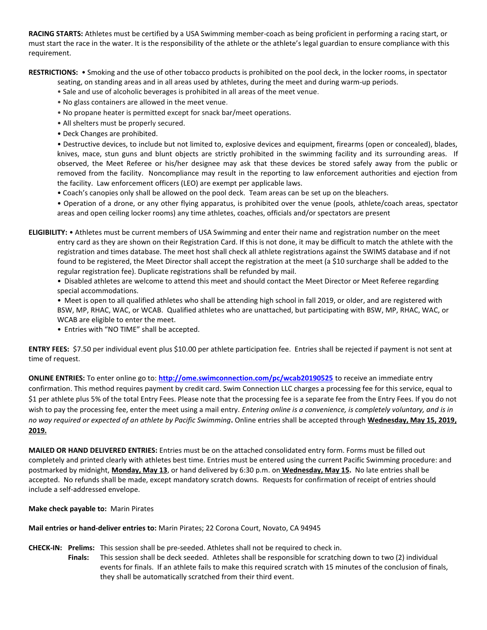**RACING STARTS:** Athletes must be certified by a USA Swimming member-coach as being proficient in performing a racing start, or must start the race in the water. It is the responsibility of the athlete or the athlete's legal guardian to ensure compliance with this requirement.

**RESTRICTIONS:** • Smoking and the use of other tobacco products is prohibited on the pool deck, in the locker rooms, in spectator

- seating, on standing areas and in all areas used by athletes, during the meet and during warm-up periods.
- Sale and use of alcoholic beverages is prohibited in all areas of the meet venue.
- No glass containers are allowed in the meet venue.
- No propane heater is permitted except for snack bar/meet operations.
- All shelters must be properly secured.
- Deck Changes are prohibited.

• Destructive devices, to include but not limited to, explosive devices and equipment, firearms (open or concealed), blades, knives, mace, stun guns and blunt objects are strictly prohibited in the swimming facility and its surrounding areas. If observed, the Meet Referee or his/her designee may ask that these devices be stored safely away from the public or removed from the facility. Noncompliance may result in the reporting to law enforcement authorities and ejection from the facility. Law enforcement officers (LEO) are exempt per applicable laws.

• Coach's canopies only shall be allowed on the pool deck. Team areas can be set up on the bleachers.

• Operation of a drone, or any other flying apparatus, is prohibited over the venue (pools, athlete/coach areas, spectator areas and open ceiling locker rooms) any time athletes, coaches, officials and/or spectators are present

**ELIGIBILITY:** • Athletes must be current members of USA Swimming and enter their name and registration number on the meet entry card as they are shown on their Registration Card. If this is not done, it may be difficult to match the athlete with the registration and times database. The meet host shall check all athlete registrations against the SWIMS database and if not found to be registered, the Meet Director shall accept the registration at the meet (a \$10 surcharge shall be added to the regular registration fee). Duplicate registrations shall be refunded by mail.

• Disabled athletes are welcome to attend this meet and should contact the Meet Director or Meet Referee regarding special accommodations.

• Meet is open to all qualified athletes who shall be attending high school in fall 2019, or older, and are registered with BSW, MP, RHAC, WAC, or WCAB. Qualified athletes who are unattached, but participating with BSW, MP, RHAC, WAC, or WCAB are eligible to enter the meet.

• Entries with "NO TIME" shall be accepted.

**ENTRY FEES:** \$7.50 per individual event plus \$10.00 per athlete participation fee. Entries shall be rejected if payment is not sent at time of request.

**ONLINE ENTRIES:** To enter online go to: **<http://ome.swimconnection.com/pc/wcab20190525>** to receive an immediate entry confirmation. This method requires payment by credit card. Swim Connection LLC charges a processing fee for this service, equal to \$1 per athlete plus 5% of the total Entry Fees. Please note that the processing fee is a separate fee from the Entry Fees. If you do not wish to pay the processing fee, enter the meet using a mail entry. *Entering online is a convenience, is completely voluntary, and is in no way required or expected of an athlete by Pacific Swimming***.** Online entries shall be accepted through **Wednesday, May 15, 2019, 2019.** 

**MAILED OR HAND DELIVERED ENTRIES:** Entries must be on the attached consolidated entry form. Forms must be filled out completely and printed clearly with athletes best time. Entries must be entered using the current Pacific Swimming procedure: and postmarked by midnight, **Monday, May 13**, or hand delivered by 6:30 p.m. on **Wednesday, May 15.** No late entries shall be accepted. No refunds shall be made, except mandatory scratch downs. Requests for confirmation of receipt of entries should include a self-addressed envelope.

## **Make check payable to:** Marin Pirates

**Mail entries or hand-deliver entries to:** Marin Pirates; 22 Corona Court, Novato, CA 94945

**CHECK-IN: Prelims:** This session shall be pre-seeded. Athletes shall not be required to check in.

**Finals:** This session shall be deck seeded. Athletes shall be responsible for scratching down to two (2) individual events for finals. If an athlete fails to make this required scratch with 15 minutes of the conclusion of finals, they shall be automatically scratched from their third event.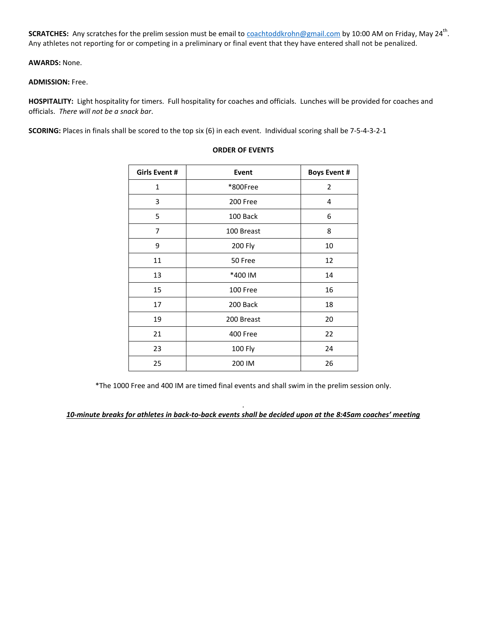SCRATCHES: Any scratches for the prelim session must be email to <u>coachtoddkrohn@gmail.com</u> by 10:00 AM on Friday, May 24<sup>th</sup>. Any athletes not reporting for or competing in a preliminary or final event that they have entered shall not be penalized.

## **AWARDS:** None.

#### **ADMISSION:** Free.

**HOSPITALITY:** Light hospitality for timers. Full hospitality for coaches and officials. Lunches will be provided for coaches and officials. *There will not be a snack bar*.

**SCORING:** Places in finals shall be scored to the top six (6) in each event. Individual scoring shall be 7-5-4-3-2-1

| <b>Girls Event #</b> | <b>Event</b> | <b>Boys Event #</b> |  |  |
|----------------------|--------------|---------------------|--|--|
| $\mathbf{1}$         | *800Free     | 2                   |  |  |
| 3                    | 200 Free     | 4                   |  |  |
| 5                    | 100 Back     | 6                   |  |  |
| 7                    | 100 Breast   | 8                   |  |  |
| 9                    | 200 Fly      | 10                  |  |  |
| 11                   | 50 Free      | 12                  |  |  |
| 13                   | *400 IM      | 14                  |  |  |
| 15                   | 100 Free     | 16                  |  |  |
| 17                   | 200 Back     | 18                  |  |  |
| 19                   | 200 Breast   | 20                  |  |  |
| 21                   | 400 Free     | 22                  |  |  |
| 23                   | 100 Fly      | 24                  |  |  |
| 25                   | 200 IM       | 26                  |  |  |
|                      |              |                     |  |  |

#### **ORDER OF EVENTS**

\*The 1000 Free and 400 IM are timed final events and shall swim in the prelim session only.

. *10-minute breaks for athletes in back-to-back events shall be decided upon at the 8:45am coaches' meeting*